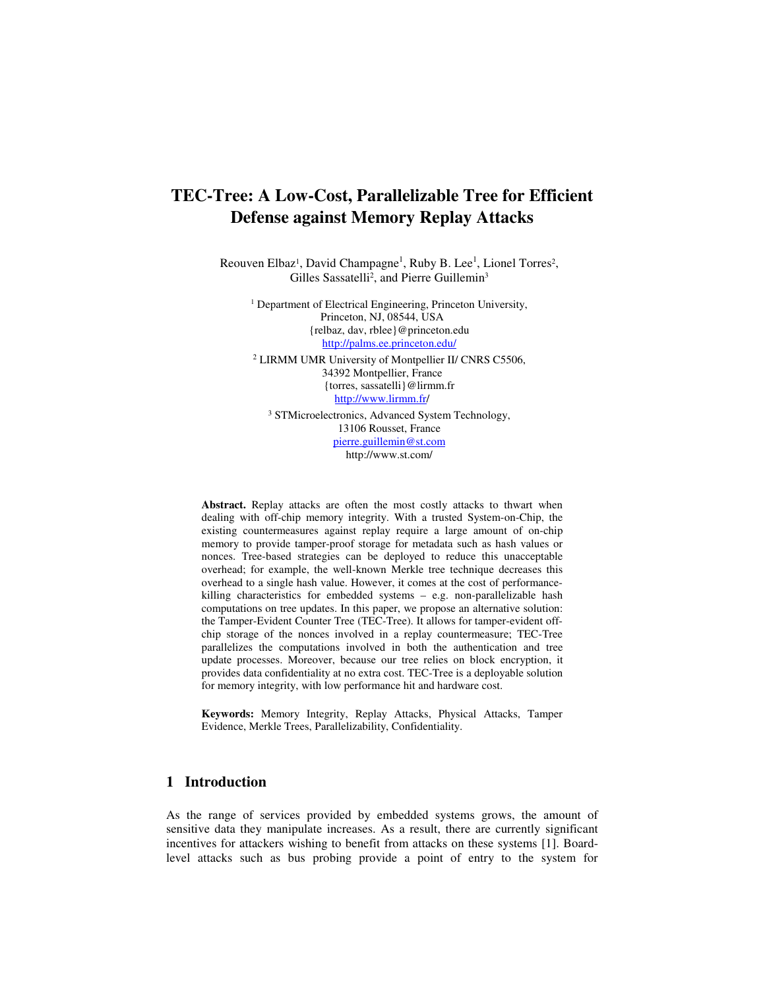# **TEC-Tree: A Low-Cost, Parallelizable Tree for Efficient Defense against Memory Replay Attacks**

Reouven Elbaz<sup>1</sup>, David Champagne<sup>1</sup>, Ruby B. Lee<sup>1</sup>, Lionel Torres<sup>2</sup>, Gilles Sassatelli<sup>2</sup>, and Pierre Guillemin<sup>3</sup>

<sup>1</sup> Department of Electrical Engineering, Princeton University, Princeton, NJ, 08544, USA {relbaz, dav, rblee}@princeton.edu http://palms.ee.princeton.edu/

2 LIRMM UMR University of Montpellier II/ CNRS C5506, 34392 Montpellier, France {torres, sassatelli}@lirmm.fr http://www.lirmm.fr/

<sup>3</sup> STMicroelectronics, Advanced System Technology, 13106 Rousset, France pierre.guillemin@st.com http://www.st.com/

Abstract. Replay attacks are often the most costly attacks to thwart when dealing with off-chip memory integrity. With a trusted System-on-Chip, the existing countermeasures against replay require a large amount of on-chip memory to provide tamper-proof storage for metadata such as hash values or nonces. Tree-based strategies can be deployed to reduce this unacceptable overhead; for example, the well-known Merkle tree technique decreases this overhead to a single hash value. However, it comes at the cost of performancekilling characteristics for embedded systems – e.g. non-parallelizable hash computations on tree updates. In this paper, we propose an alternative solution: the Tamper-Evident Counter Tree (TEC-Tree). It allows for tamper-evident offchip storage of the nonces involved in a replay countermeasure; TEC-Tree parallelizes the computations involved in both the authentication and tree update processes. Moreover, because our tree relies on block encryption, it provides data confidentiality at no extra cost. TEC-Tree is a deployable solution for memory integrity, with low performance hit and hardware cost.

**Keywords:** Memory Integrity, Replay Attacks, Physical Attacks, Tamper Evidence, Merkle Trees, Parallelizability, Confidentiality.

# **1 Introduction**

As the range of services provided by embedded systems grows, the amount of sensitive data they manipulate increases. As a result, there are currently significant incentives for attackers wishing to benefit from attacks on these systems [1]. Boardlevel attacks such as bus probing provide a point of entry to the system for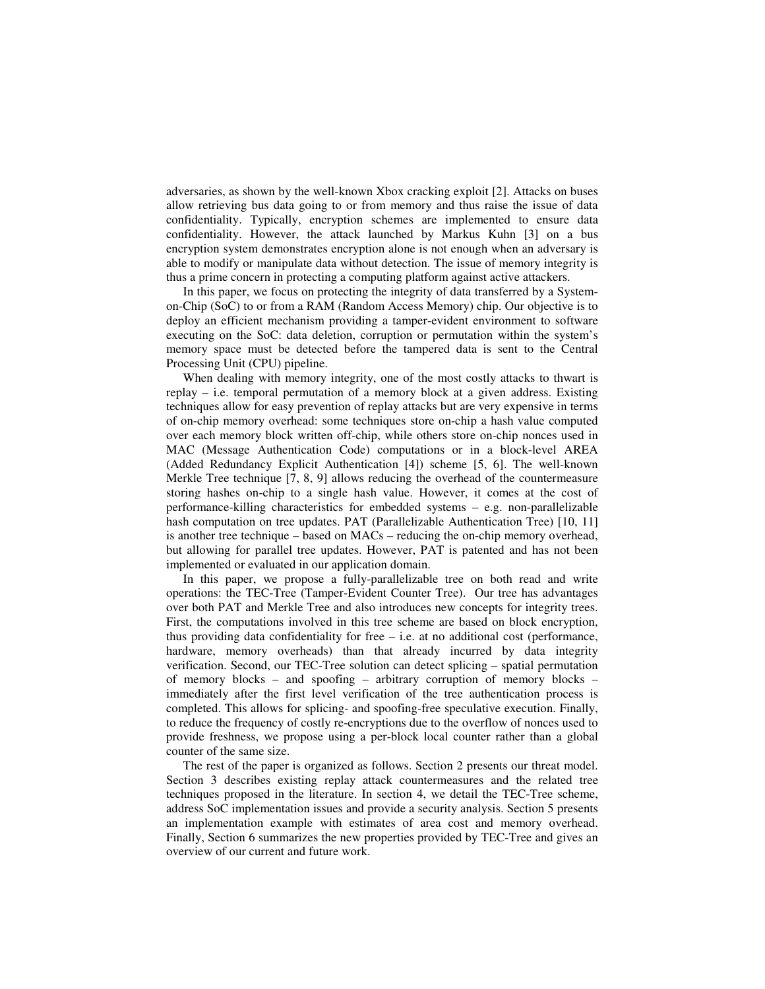adversaries, as shown by the well-known Xbox cracking exploit [2]. Attacks on buses allow retrieving bus data going to or from memory and thus raise the issue of data confidentiality. Typically, encryption schemes are implemented to ensure data confidentiality. However, the attack launched by Markus Kuhn [3] on a bus encryption system demonstrates encryption alone is not enough when an adversary is able to modify or manipulate data without detection. The issue of memory integrity is thus a prime concern in protecting a computing platform against active attackers.

In this paper, we focus on protecting the integrity of data transferred by a Systemon-Chip (SoC) to or from a RAM (Random Access Memory) chip. Our objective is to deploy an efficient mechanism providing a tamper-evident environment to software executing on the SoC: data deletion, corruption or permutation within the system's memory space must be detected before the tampered data is sent to the Central Processing Unit (CPU) pipeline.

When dealing with memory integrity, one of the most costly attacks to thwart is replay – i.e. temporal permutation of a memory block at a given address. Existing techniques allow for easy prevention of replay attacks but are very expensive in terms of on-chip memory overhead: some techniques store on-chip a hash value computed over each memory block written off-chip, while others store on-chip nonces used in MAC (Message Authentication Code) computations or in a block-level AREA (Added Redundancy Explicit Authentication [4]) scheme [5, 6]. The well-known Merkle Tree technique [7, 8, 9] allows reducing the overhead of the countermeasure storing hashes on-chip to a single hash value. However, it comes at the cost of performance-killing characteristics for embedded systems – e.g. non-parallelizable hash computation on tree updates. PAT (Parallelizable Authentication Tree) [10, 11] is another tree technique – based on MACs – reducing the on-chip memory overhead, but allowing for parallel tree updates. However, PAT is patented and has not been implemented or evaluated in our application domain.

In this paper, we propose a fully-parallelizable tree on both read and write operations: the TEC-Tree (Tamper-Evident Counter Tree). Our tree has advantages over both PAT and Merkle Tree and also introduces new concepts for integrity trees. First, the computations involved in this tree scheme are based on block encryption, thus providing data confidentiality for free  $-$  i.e. at no additional cost (performance, hardware, memory overheads) than that already incurred by data integrity verification. Second, our TEC-Tree solution can detect splicing – spatial permutation of memory blocks – and spoofing – arbitrary corruption of memory blocks – immediately after the first level verification of the tree authentication process is completed. This allows for splicing- and spoofing-free speculative execution. Finally, to reduce the frequency of costly re-encryptions due to the overflow of nonces used to provide freshness, we propose using a per-block local counter rather than a global counter of the same size.

The rest of the paper is organized as follows. Section 2 presents our threat model. Section 3 describes existing replay attack countermeasures and the related tree techniques proposed in the literature. In section 4, we detail the TEC-Tree scheme, address SoC implementation issues and provide a security analysis. Section 5 presents an implementation example with estimates of area cost and memory overhead. Finally, Section 6 summarizes the new properties provided by TEC-Tree and gives an overview of our current and future work.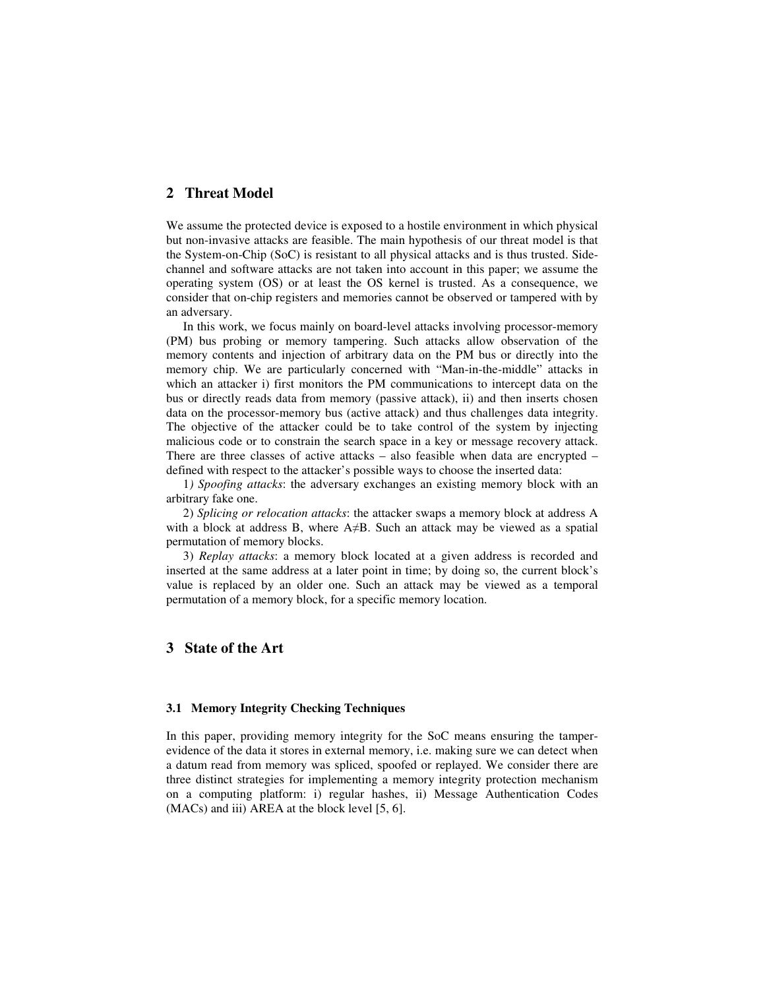# **2 Threat Model**

We assume the protected device is exposed to a hostile environment in which physical but non-invasive attacks are feasible. The main hypothesis of our threat model is that the System-on-Chip (SoC) is resistant to all physical attacks and is thus trusted. Sidechannel and software attacks are not taken into account in this paper; we assume the operating system (OS) or at least the OS kernel is trusted. As a consequence, we consider that on-chip registers and memories cannot be observed or tampered with by an adversary.

In this work, we focus mainly on board-level attacks involving processor-memory (PM) bus probing or memory tampering. Such attacks allow observation of the memory contents and injection of arbitrary data on the PM bus or directly into the memory chip. We are particularly concerned with "Man-in-the-middle" attacks in which an attacker i) first monitors the PM communications to intercept data on the bus or directly reads data from memory (passive attack), ii) and then inserts chosen data on the processor-memory bus (active attack) and thus challenges data integrity. The objective of the attacker could be to take control of the system by injecting malicious code or to constrain the search space in a key or message recovery attack. There are three classes of active attacks – also feasible when data are encrypted – defined with respect to the attacker's possible ways to choose the inserted data:

1*) Spoofing attacks*: the adversary exchanges an existing memory block with an arbitrary fake one.

2) *Splicing or relocation attacks*: the attacker swaps a memory block at address A with a block at address B, where  $A \neq B$ . Such an attack may be viewed as a spatial permutation of memory blocks.

3) *Replay attacks*: a memory block located at a given address is recorded and inserted at the same address at a later point in time; by doing so, the current block's value is replaced by an older one. Such an attack may be viewed as a temporal permutation of a memory block, for a specific memory location.

# **3 State of the Art**

#### **3.1 Memory Integrity Checking Techniques**

In this paper, providing memory integrity for the SoC means ensuring the tamperevidence of the data it stores in external memory, i.e. making sure we can detect when a datum read from memory was spliced, spoofed or replayed. We consider there are three distinct strategies for implementing a memory integrity protection mechanism on a computing platform: i) regular hashes, ii) Message Authentication Codes (MACs) and iii) AREA at the block level [5, 6].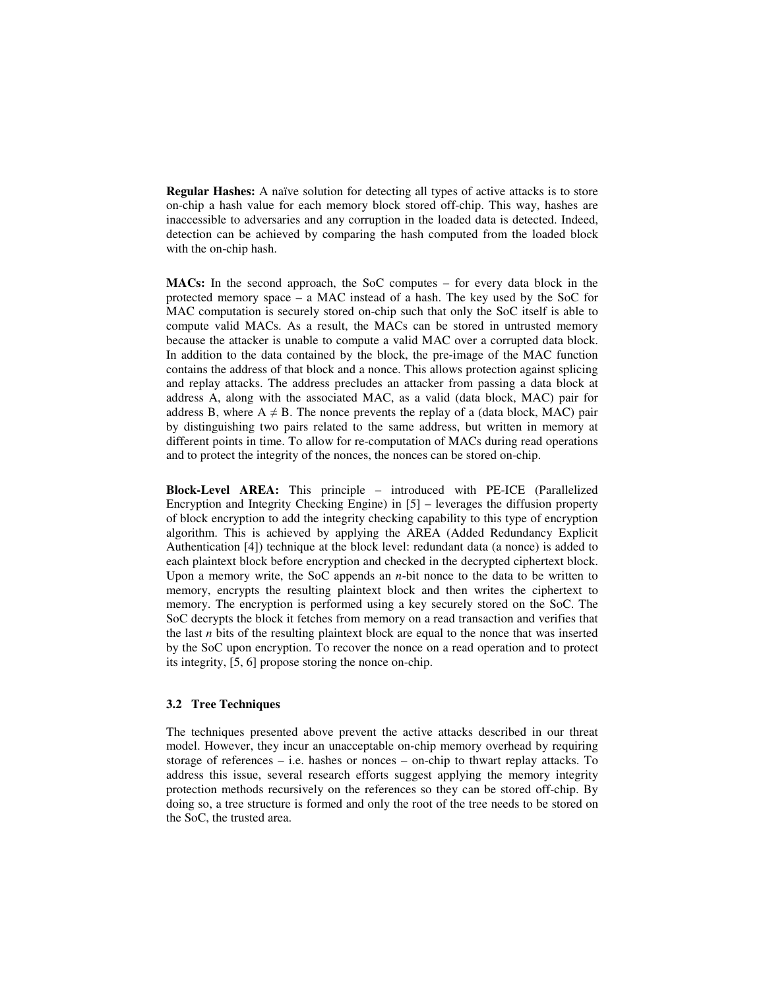**Regular Hashes:** A naïve solution for detecting all types of active attacks is to store on-chip a hash value for each memory block stored off-chip. This way, hashes are inaccessible to adversaries and any corruption in the loaded data is detected. Indeed, detection can be achieved by comparing the hash computed from the loaded block with the on-chip hash.

**MACs:** In the second approach, the SoC computes – for every data block in the protected memory space – a MAC instead of a hash. The key used by the SoC for MAC computation is securely stored on-chip such that only the SoC itself is able to compute valid MACs. As a result, the MACs can be stored in untrusted memory because the attacker is unable to compute a valid MAC over a corrupted data block. In addition to the data contained by the block, the pre-image of the MAC function contains the address of that block and a nonce. This allows protection against splicing and replay attacks. The address precludes an attacker from passing a data block at address A, along with the associated MAC, as a valid (data block, MAC) pair for address B, where  $A \neq B$ . The nonce prevents the replay of a (data block, MAC) pair by distinguishing two pairs related to the same address, but written in memory at different points in time. To allow for re-computation of MACs during read operations and to protect the integrity of the nonces, the nonces can be stored on-chip.

**Block-Level AREA:** This principle – introduced with PE-ICE (Parallelized Encryption and Integrity Checking Engine) in [5] – leverages the diffusion property of block encryption to add the integrity checking capability to this type of encryption algorithm. This is achieved by applying the AREA (Added Redundancy Explicit Authentication [4]) technique at the block level: redundant data (a nonce) is added to each plaintext block before encryption and checked in the decrypted ciphertext block. Upon a memory write, the SoC appends an *n*-bit nonce to the data to be written to memory, encrypts the resulting plaintext block and then writes the ciphertext to memory. The encryption is performed using a key securely stored on the SoC. The SoC decrypts the block it fetches from memory on a read transaction and verifies that the last *n* bits of the resulting plaintext block are equal to the nonce that was inserted by the SoC upon encryption. To recover the nonce on a read operation and to protect its integrity, [5, 6] propose storing the nonce on-chip.

#### **3.2 Tree Techniques**

The techniques presented above prevent the active attacks described in our threat model. However, they incur an unacceptable on-chip memory overhead by requiring storage of references – i.e. hashes or nonces – on-chip to thwart replay attacks. To address this issue, several research efforts suggest applying the memory integrity protection methods recursively on the references so they can be stored off-chip. By doing so, a tree structure is formed and only the root of the tree needs to be stored on the SoC, the trusted area.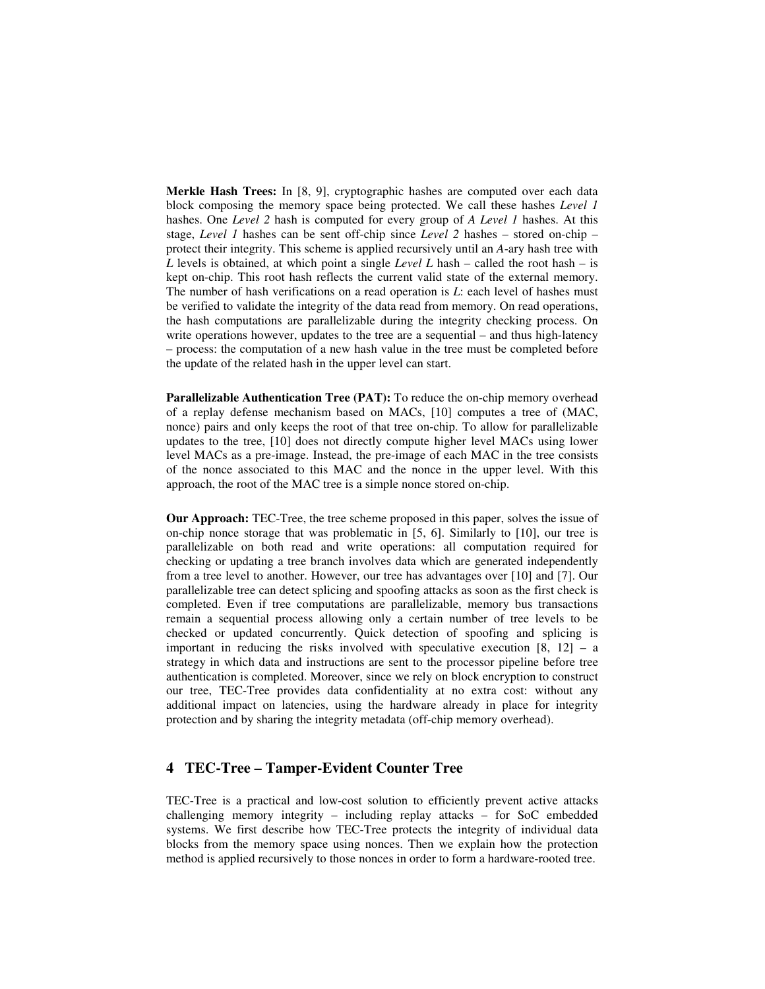**Merkle Hash Trees:** In [8, 9], cryptographic hashes are computed over each data block composing the memory space being protected. We call these hashes *Level 1* hashes. One *Level 2* hash is computed for every group of *A Level 1* hashes. At this stage, *Level 1* hashes can be sent off-chip since *Level 2* hashes – stored on-chip – protect their integrity. This scheme is applied recursively until an *A*-ary hash tree with *L* levels is obtained, at which point a single *Level L* hash – called the root hash – is kept on-chip. This root hash reflects the current valid state of the external memory. The number of hash verifications on a read operation is *L*: each level of hashes must be verified to validate the integrity of the data read from memory. On read operations, the hash computations are parallelizable during the integrity checking process. On write operations however, updates to the tree are a sequential – and thus high-latency – process: the computation of a new hash value in the tree must be completed before the update of the related hash in the upper level can start.

**Parallelizable Authentication Tree (PAT):** To reduce the on-chip memory overhead of a replay defense mechanism based on MACs, [10] computes a tree of (MAC, nonce) pairs and only keeps the root of that tree on-chip. To allow for parallelizable updates to the tree, [10] does not directly compute higher level MACs using lower level MACs as a pre-image. Instead, the pre-image of each MAC in the tree consists of the nonce associated to this MAC and the nonce in the upper level. With this approach, the root of the MAC tree is a simple nonce stored on-chip.

**Our Approach:** TEC-Tree, the tree scheme proposed in this paper, solves the issue of on-chip nonce storage that was problematic in [5, 6]. Similarly to [10], our tree is parallelizable on both read and write operations: all computation required for checking or updating a tree branch involves data which are generated independently from a tree level to another. However, our tree has advantages over [10] and [7]. Our parallelizable tree can detect splicing and spoofing attacks as soon as the first check is completed. Even if tree computations are parallelizable, memory bus transactions remain a sequential process allowing only a certain number of tree levels to be checked or updated concurrently. Quick detection of spoofing and splicing is important in reducing the risks involved with speculative execution  $[8, 12]$  – a strategy in which data and instructions are sent to the processor pipeline before tree authentication is completed. Moreover, since we rely on block encryption to construct our tree, TEC-Tree provides data confidentiality at no extra cost: without any additional impact on latencies, using the hardware already in place for integrity protection and by sharing the integrity metadata (off-chip memory overhead).

# **4 TEC-Tree – Tamper-Evident Counter Tree**

TEC-Tree is a practical and low-cost solution to efficiently prevent active attacks challenging memory integrity – including replay attacks – for SoC embedded systems. We first describe how TEC-Tree protects the integrity of individual data blocks from the memory space using nonces. Then we explain how the protection method is applied recursively to those nonces in order to form a hardware-rooted tree.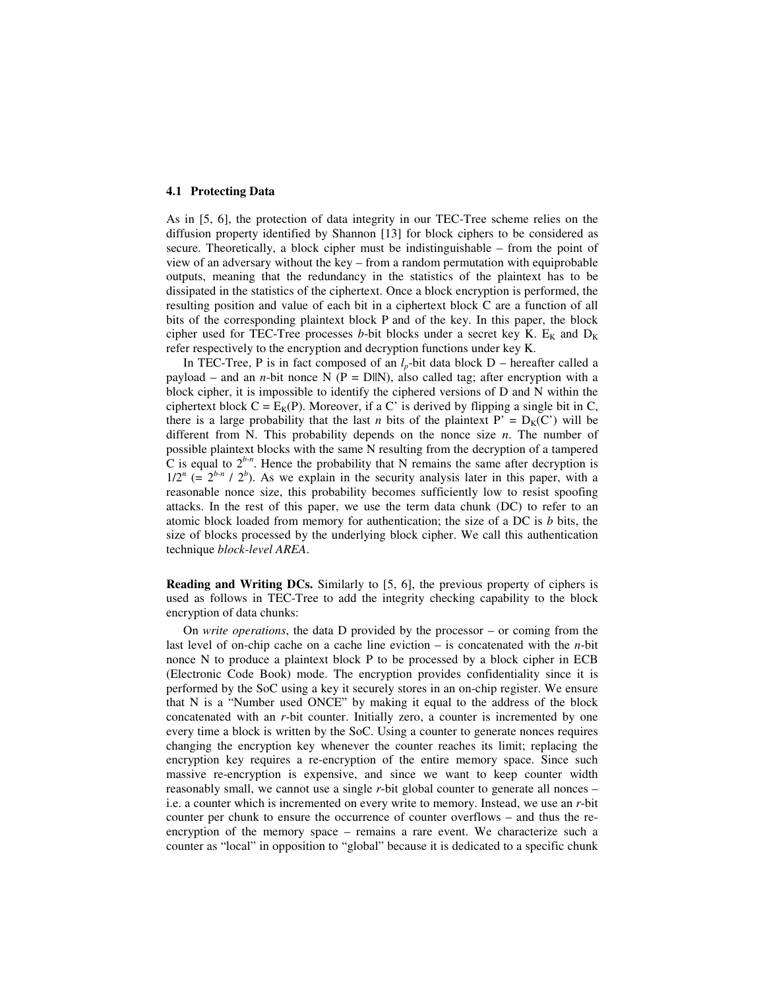#### **4.1 Protecting Data**

As in [5, 6], the protection of data integrity in our TEC-Tree scheme relies on the diffusion property identified by Shannon [13] for block ciphers to be considered as secure. Theoretically, a block cipher must be indistinguishable – from the point of view of an adversary without the key – from a random permutation with equiprobable outputs, meaning that the redundancy in the statistics of the plaintext has to be dissipated in the statistics of the ciphertext. Once a block encryption is performed, the resulting position and value of each bit in a ciphertext block C are a function of all bits of the corresponding plaintext block P and of the key. In this paper, the block cipher used for TEC-Tree processes *b*-bit blocks under a secret key K.  $E_K$  and  $D_K$ refer respectively to the encryption and decryption functions under key K.

In TEC-Tree, P is in fact composed of an  $l_p$ -bit data block  $D$  – hereafter called a payload – and an *n*-bit nonce N ( $P = D\|N$ ), also called tag; after encryption with a block cipher, it is impossible to identify the ciphered versions of D and N within the ciphertext block  $C = E_K(P)$ . Moreover, if a C' is derived by flipping a single bit in C, there is a large probability that the last *n* bits of the plaintext  $P' = D_K(C')$  will be different from N. This probability depends on the nonce size *n*. The number of possible plaintext blocks with the same N resulting from the decryption of a tampered  $\tilde{C}$  is equal to  $2^{b-n}$ . Hence the probability that N remains the same after decryption is  $1/2^n$  (=  $2^{b-n}$  /  $2^b$ ). As we explain in the security analysis later in this paper, with a reasonable nonce size, this probability becomes sufficiently low to resist spoofing attacks. In the rest of this paper, we use the term data chunk (DC) to refer to an atomic block loaded from memory for authentication; the size of a DC is *b* bits, the size of blocks processed by the underlying block cipher. We call this authentication technique *block-level AREA*.

**Reading and Writing DCs.** Similarly to [5, 6], the previous property of ciphers is used as follows in TEC-Tree to add the integrity checking capability to the block encryption of data chunks:

On *write operations*, the data D provided by the processor – or coming from the last level of on-chip cache on a cache line eviction – is concatenated with the *n*-bit nonce N to produce a plaintext block P to be processed by a block cipher in ECB (Electronic Code Book) mode. The encryption provides confidentiality since it is performed by the SoC using a key it securely stores in an on-chip register. We ensure that N is a "Number used ONCE" by making it equal to the address of the block concatenated with an *r*-bit counter. Initially zero, a counter is incremented by one every time a block is written by the SoC. Using a counter to generate nonces requires changing the encryption key whenever the counter reaches its limit; replacing the encryption key requires a re-encryption of the entire memory space. Since such massive re-encryption is expensive, and since we want to keep counter width reasonably small, we cannot use a single *r*-bit global counter to generate all nonces – i.e. a counter which is incremented on every write to memory. Instead, we use an *r*-bit counter per chunk to ensure the occurrence of counter overflows – and thus the reencryption of the memory space – remains a rare event. We characterize such a counter as "local" in opposition to "global" because it is dedicated to a specific chunk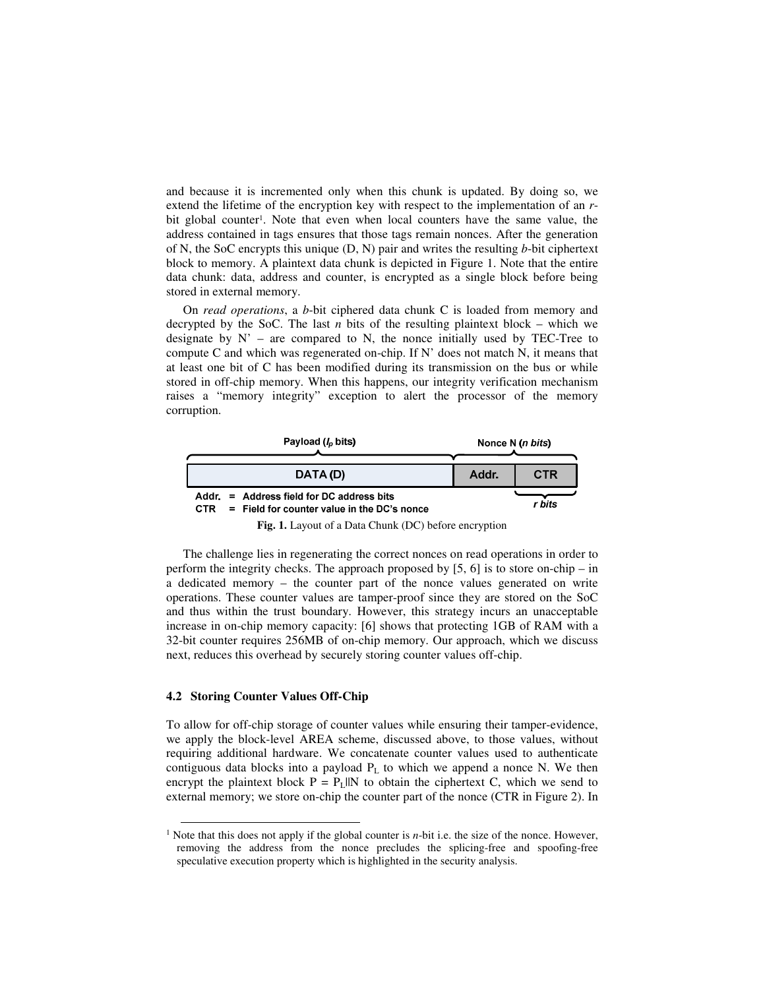and because it is incremented only when this chunk is updated. By doing so, we extend the lifetime of the encryption key with respect to the implementation of an *r*bit global counter<sup>1</sup>. Note that even when local counters have the same value, the address contained in tags ensures that those tags remain nonces. After the generation of N, the SoC encrypts this unique (D, N) pair and writes the resulting *b*-bit ciphertext block to memory. A plaintext data chunk is depicted in Figure 1. Note that the entire data chunk: data, address and counter, is encrypted as a single block before being stored in external memory.

On *read operations*, a *b*-bit ciphered data chunk C is loaded from memory and decrypted by the SoC. The last  $n$  bits of the resulting plaintext block – which we designate by  $N'$  – are compared to N, the nonce initially used by TEC-Tree to compute C and which was regenerated on-chip. If N' does not match N, it means that at least one bit of C has been modified during its transmission on the bus or while stored in off-chip memory. When this happens, our integrity verification mechanism raises a "memory integrity" exception to alert the processor of the memory corruption.



**Fig. 1.** Layout of a Data Chunk (DC) before encryption

The challenge lies in regenerating the correct nonces on read operations in order to perform the integrity checks. The approach proposed by [5, 6] is to store on-chip – in a dedicated memory – the counter part of the nonce values generated on write operations. These counter values are tamper-proof since they are stored on the SoC and thus within the trust boundary. However, this strategy incurs an unacceptable increase in on-chip memory capacity: [6] shows that protecting 1GB of RAM with a 32-bit counter requires 256MB of on-chip memory. Our approach, which we discuss next, reduces this overhead by securely storing counter values off-chip.

#### **4.2 Storing Counter Values Off-Chip**

 $\overline{a}$ 

To allow for off-chip storage of counter values while ensuring their tamper-evidence, we apply the block-level AREA scheme, discussed above, to those values, without requiring additional hardware. We concatenate counter values used to authenticate contiguous data blocks into a payload  $P<sub>L</sub>$  to which we append a nonce N. We then encrypt the plaintext block  $P = P_L \parallel N$  to obtain the ciphertext C, which we send to external memory; we store on-chip the counter part of the nonce (CTR in Figure 2). In

<sup>&</sup>lt;sup>1</sup> Note that this does not apply if the global counter is *n*-bit i.e. the size of the nonce. However, removing the address from the nonce precludes the splicing-free and spoofing-free speculative execution property which is highlighted in the security analysis.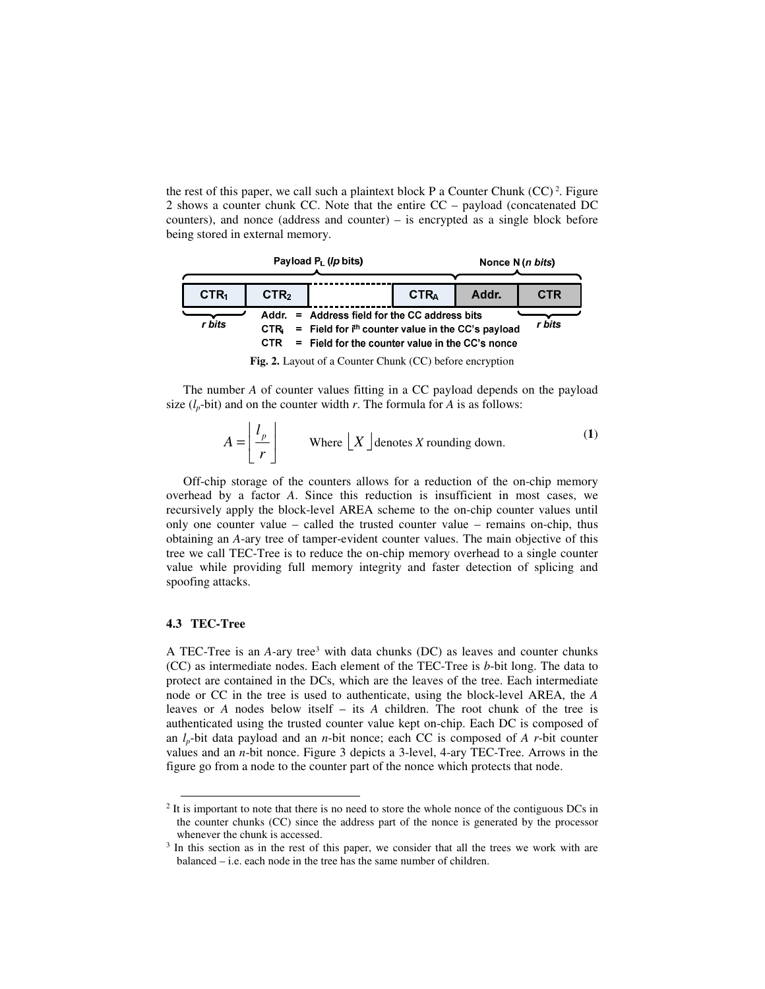the rest of this paper, we call such a plaintext block P a Counter Chunk  $(CC)^2$ . Figure 2 shows a counter chunk CC. Note that the entire CC – payload (concatenated DC counters), and nonce (address and counter) – is encrypted as a single block before being stored in external memory.

| Payload $P_L$ ( <i>lp</i> bits) |                  |                                                                                                                                                                     |                  | Nonce N (n bits) |            |
|---------------------------------|------------------|---------------------------------------------------------------------------------------------------------------------------------------------------------------------|------------------|------------------|------------|
| CTR <sub>1</sub>                | CTR <sub>2</sub> |                                                                                                                                                                     | CTR <sub>4</sub> | Addr.            | <b>CTR</b> |
| r bits                          | CTR.<br>CTR      | Addr. = Address field for the CC address bits<br>$=$ Field for i <sup>th</sup> counter value in the CC's payload<br>= Field for the counter value in the CC's nonce |                  |                  |            |

**Fig. 2.** Layout of a Counter Chunk (CC) before encryption

The number *A* of counter values fitting in a CC payload depends on the payload size  $(l_p$ -bit) and on the counter width *r*. The formula for *A* is as follows:

$$
A = \left\lfloor \frac{l_p}{r} \right\rfloor \qquad \text{Where } \left\lfloor X \right\rfloor \text{ denotes } X \text{ rounding down.}
$$
 (1)

Off-chip storage of the counters allows for a reduction of the on-chip memory overhead by a factor *A*. Since this reduction is insufficient in most cases, we recursively apply the block-level AREA scheme to the on-chip counter values until only one counter value – called the trusted counter value – remains on-chip, thus obtaining an *A*-ary tree of tamper-evident counter values. The main objective of this tree we call TEC-Tree is to reduce the on-chip memory overhead to a single counter value while providing full memory integrity and faster detection of splicing and spoofing attacks.

### **4.3 TEC-Tree**

 $\overline{a}$ 

A TEC-Tree is an *A*-ary tree<sup>3</sup> with data chunks (DC) as leaves and counter chunks (CC) as intermediate nodes. Each element of the TEC-Tree is *b*-bit long. The data to protect are contained in the DCs, which are the leaves of the tree. Each intermediate node or CC in the tree is used to authenticate, using the block-level AREA, the *A* leaves or *A* nodes below itself – its *A* children. The root chunk of the tree is authenticated using the trusted counter value kept on-chip. Each DC is composed of an  $l_p$ -bit data payload and an *n*-bit nonce; each CC is composed of *A r*-bit counter values and an *n*-bit nonce. Figure 3 depicts a 3-level, 4-ary TEC-Tree. Arrows in the figure go from a node to the counter part of the nonce which protects that node.

 $2<sup>2</sup>$  It is important to note that there is no need to store the whole nonce of the contiguous DCs in the counter chunks (CC) since the address part of the nonce is generated by the processor whenever the chunk is accessed.

<sup>&</sup>lt;sup>3</sup> In this section as in the rest of this paper, we consider that all the trees we work with are balanced – i.e. each node in the tree has the same number of children.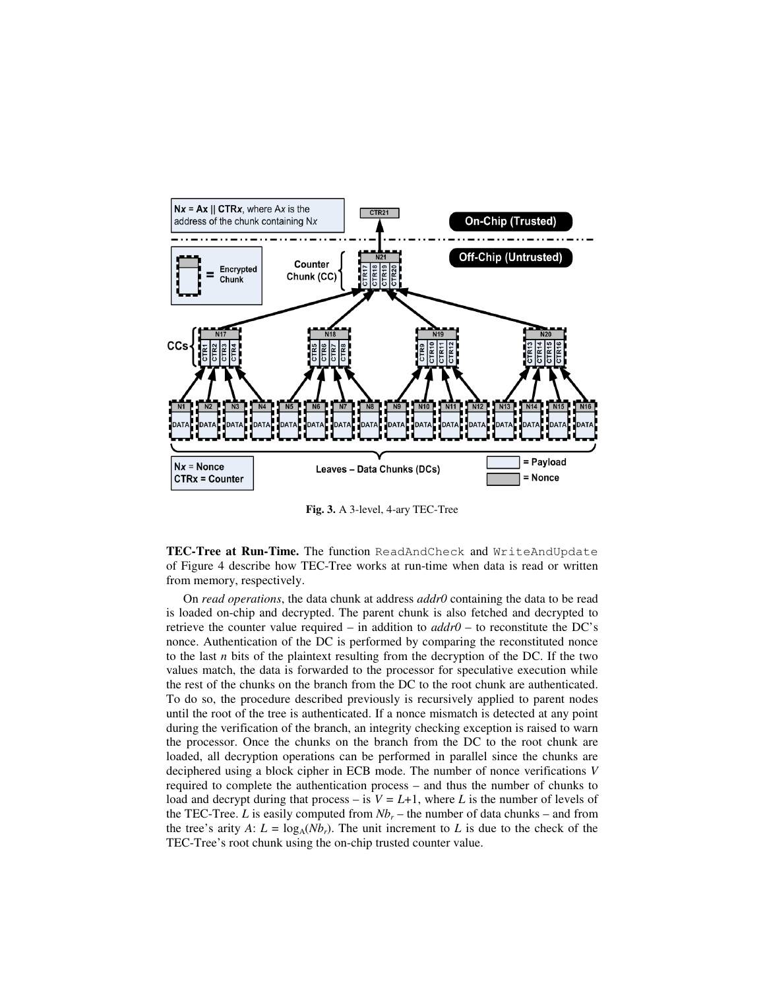

**Fig. 3.** A 3-level, 4-ary TEC-Tree

**TEC-Tree at Run-Time.** The function ReadAndCheck and WriteAndUpdate of Figure 4 describe how TEC-Tree works at run-time when data is read or written from memory, respectively.

On *read operations*, the data chunk at address *addr0* containing the data to be read is loaded on-chip and decrypted. The parent chunk is also fetched and decrypted to retrieve the counter value required – in addition to  $\alpha d d\tau$  – to reconstitute the DC's nonce. Authentication of the DC is performed by comparing the reconstituted nonce to the last *n* bits of the plaintext resulting from the decryption of the DC. If the two values match, the data is forwarded to the processor for speculative execution while the rest of the chunks on the branch from the DC to the root chunk are authenticated. To do so, the procedure described previously is recursively applied to parent nodes until the root of the tree is authenticated. If a nonce mismatch is detected at any point during the verification of the branch, an integrity checking exception is raised to warn the processor. Once the chunks on the branch from the DC to the root chunk are loaded, all decryption operations can be performed in parallel since the chunks are deciphered using a block cipher in ECB mode. The number of nonce verifications *V* required to complete the authentication process – and thus the number of chunks to load and decrypt during that process – is  $V = L+1$ , where *L* is the number of levels of the TEC-Tree. *L* is easily computed from  $Nb_r$  – the number of data chunks – and from the tree's arity *A*:  $L = \log_{A}(Nb_r)$ . The unit increment to *L* is due to the check of the TEC-Tree's root chunk using the on-chip trusted counter value.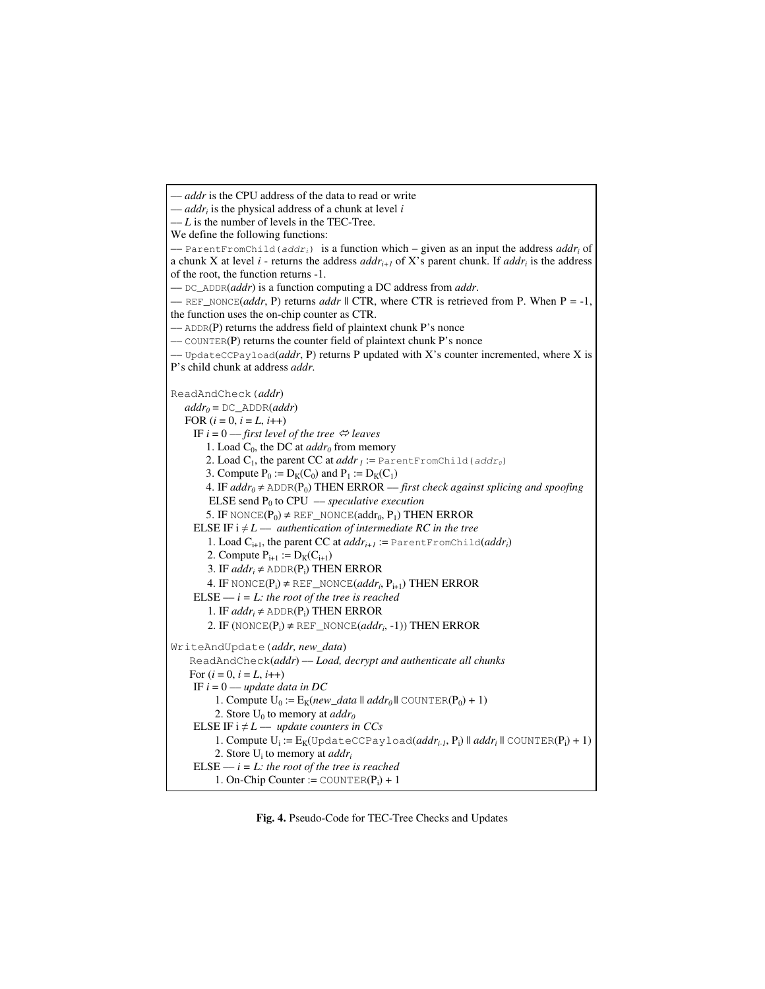```
addr is the CPU address of the data to read or write
     –– addri
is the physical address of a chunk at level i
    –– L is the number of levels in the TEC-Tree. 
    We define the following functions: 
     — ParentFromChild(addr<sub>i</sub>) is a function which – given as an input the address addr<sub>i</sub> of
     a chunk X at level i - returns the address addr_{i+1} of X's parent chunk. If addr_i is the address
    of the root, the function returns -1. 
      –– DC_ADDR(addr) is a function computing a DC address from addr. 
     –– REF_NONCE(addr, P) returns addr || CTR, where CTR is retrieved from P. When P = -1, 
    the function uses the on-chip counter as CTR. 
      –– ADDR(P) returns the address field of plaintext chunk P's nonce 
     –– COUNTER(P) returns the counter field of plaintext chunk P's nonce 
     –– UpdateCCPayload(addr, P) returns P updated with X's counter incremented, where X is 
    P's child chunk at address addr. 
    ReadAndCheck(addr) 
      addr0
 = DC_ADDR(addr) 
       FOR (i = 0, i = L, i++)IF i = 0 — first level of the tree \Leftrightarrow leaves
            1. Load C_0, the DC at addr_0 from memory
            2. Load C_1, the parent CC at addr_1 := ParentFromChild(addr<sub>0</sub>)
            3. Compute P_0 := D_K(C_0) and P_1 := D_K(C_1)4. IF addr0 ≠ ADDR(P0
) THEN ERROR –– first check against splicing and spoofing
            ELSE send P_0 to CPU — speculative execution
            5. IF NONCE(P_0) \neq REF_NONCE(addr_0, P_1) THEN ERROR
         ELSE IF i \neq L — authentication of intermediate RC in the tree
1. Load C_{i+1}, the parent CC at addr_{i+1} := ParentFromChild(addr_i)
            2. Compute P_{i+1} := D_K(C_{i+1})3. IF addr_i \neq \text{ADDR}(P_i) THEN ERROR
4. IF NONCE(P_i) \neq REF NONCE(addr_i, P_{i+1}) THEN ERROR
         E LSE - i = L: the root of the tree is reached
        1. IF addr_i \neq \text{ADDR}(P_i) THEN ERROR
        2. IF (NONCE(P_i) \neq REF_NONCE(addr_i, -1)) THEN ERROR
    WriteAndUpdate(addr, new_data) 
        ReadAndCheck(addr) –– Load, decrypt and authenticate all chunks
        For (i = 0, i = L, i++)IF i = 0 — update data in DC
     1. Compute U_0 := E_K(new\_data \parallel addr_0 \parallel \text{COUNTER}(P_0) + 1)2. Store U_0 to memory at addr<sub>0</sub>
         ELSE IF i \neq L — update counters in CCs
     1. Compute U_i := E_K(UpdateCCPayload(addr<sub>i-1</sub>, P_i) || addr<sub>i</sub> || COUNTER(P_i) + 1)
      2. Store Ui
 to memory at addri
         ELSE - i = L: the root of the tree is reached
              1. On-Chip Counter := \text{COUNTER}(P_i) + 1
```
**Fig. 4.** Pseudo-Code for TEC-Tree Checks and Updates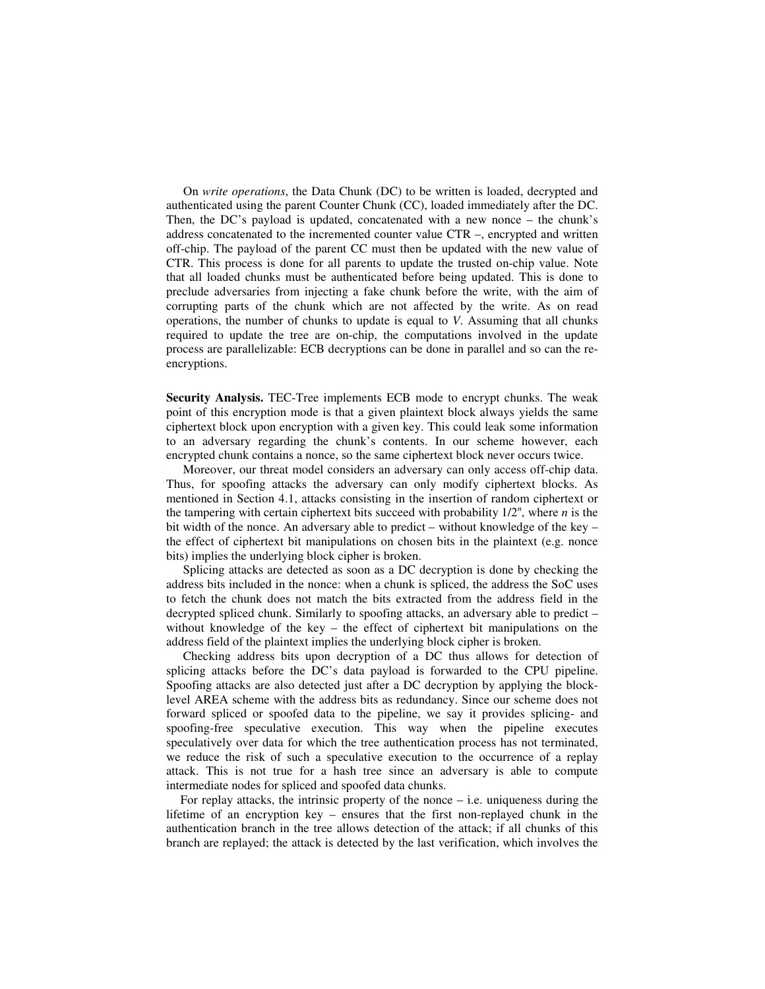On *write operations*, the Data Chunk (DC) to be written is loaded, decrypted and authenticated using the parent Counter Chunk (CC), loaded immediately after the DC. Then, the DC's payload is updated, concatenated with a new nonce – the chunk's address concatenated to the incremented counter value CTR –, encrypted and written off-chip. The payload of the parent CC must then be updated with the new value of CTR. This process is done for all parents to update the trusted on-chip value. Note that all loaded chunks must be authenticated before being updated. This is done to preclude adversaries from injecting a fake chunk before the write, with the aim of corrupting parts of the chunk which are not affected by the write. As on read operations, the number of chunks to update is equal to *V*. Assuming that all chunks required to update the tree are on-chip, the computations involved in the update process are parallelizable: ECB decryptions can be done in parallel and so can the reencryptions.

**Security Analysis.** TEC-Tree implements ECB mode to encrypt chunks. The weak point of this encryption mode is that a given plaintext block always yields the same ciphertext block upon encryption with a given key. This could leak some information to an adversary regarding the chunk's contents. In our scheme however, each encrypted chunk contains a nonce, so the same ciphertext block never occurs twice.

Moreover, our threat model considers an adversary can only access off-chip data. Thus, for spoofing attacks the adversary can only modify ciphertext blocks. As mentioned in Section 4.1, attacks consisting in the insertion of random ciphertext or the tampering with certain ciphertext bits succeed with probability  $1/2^n$ , where *n* is the bit width of the nonce. An adversary able to predict – without knowledge of the key – the effect of ciphertext bit manipulations on chosen bits in the plaintext (e.g. nonce bits) implies the underlying block cipher is broken.

Splicing attacks are detected as soon as a DC decryption is done by checking the address bits included in the nonce: when a chunk is spliced, the address the SoC uses to fetch the chunk does not match the bits extracted from the address field in the decrypted spliced chunk. Similarly to spoofing attacks, an adversary able to predict – without knowledge of the key – the effect of ciphertext bit manipulations on the address field of the plaintext implies the underlying block cipher is broken.

Checking address bits upon decryption of a DC thus allows for detection of splicing attacks before the DC's data payload is forwarded to the CPU pipeline. Spoofing attacks are also detected just after a DC decryption by applying the blocklevel AREA scheme with the address bits as redundancy. Since our scheme does not forward spliced or spoofed data to the pipeline, we say it provides splicing- and spoofing-free speculative execution. This way when the pipeline executes speculatively over data for which the tree authentication process has not terminated, we reduce the risk of such a speculative execution to the occurrence of a replay attack. This is not true for a hash tree since an adversary is able to compute intermediate nodes for spliced and spoofed data chunks.

For replay attacks, the intrinsic property of the nonce  $-$  i.e. uniqueness during the lifetime of an encryption key – ensures that the first non-replayed chunk in the authentication branch in the tree allows detection of the attack; if all chunks of this branch are replayed; the attack is detected by the last verification, which involves the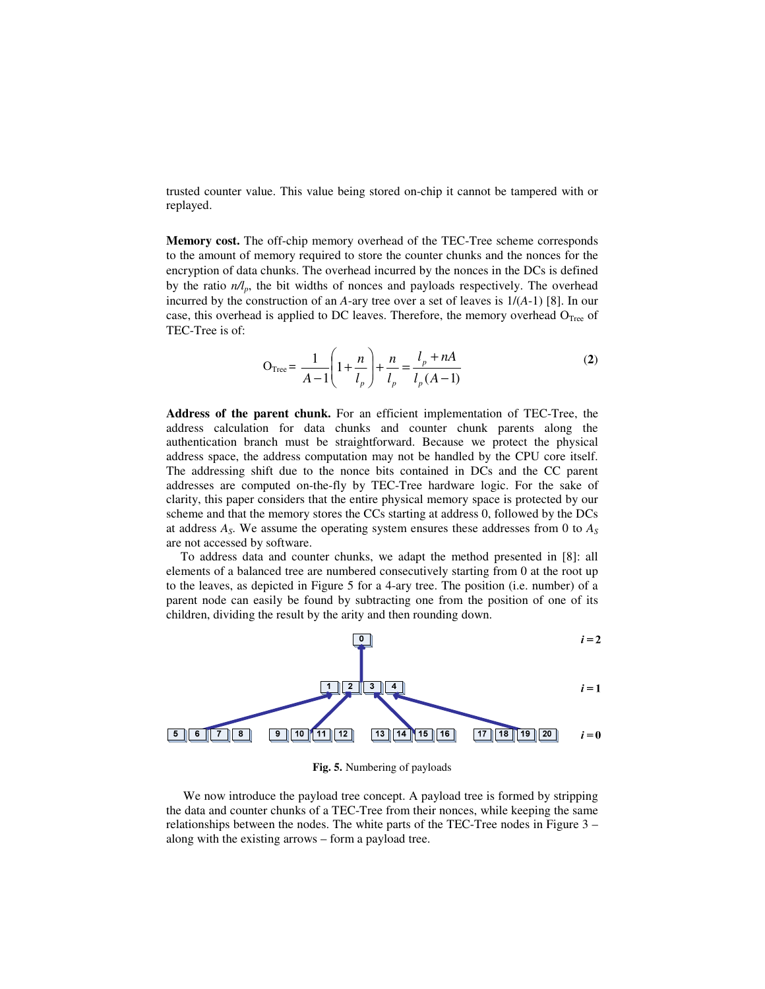trusted counter value. This value being stored on-chip it cannot be tampered with or replayed.

**Memory cost.** The off-chip memory overhead of the TEC-Tree scheme corresponds to the amount of memory required to store the counter chunks and the nonces for the encryption of data chunks. The overhead incurred by the nonces in the DCs is defined by the ratio  $n/l_p$ , the bit widths of nonces and payloads respectively. The overhead incurred by the construction of an *A*-ary tree over a set of leaves is 1/(*A*-1) [8]. In our case, this overhead is applied to DC leaves. Therefore, the memory overhead  $O<sub>Tree</sub>$  of TEC-Tree is of:

$$
O_{Tree} = \frac{1}{A - 1} \left( 1 + \frac{n}{l_p} \right) + \frac{n}{l_p} = \frac{l_p + nA}{l_p(A - 1)}
$$
(2)

**Address of the parent chunk.** For an efficient implementation of TEC-Tree, the address calculation for data chunks and counter chunk parents along the authentication branch must be straightforward. Because we protect the physical address space, the address computation may not be handled by the CPU core itself. The addressing shift due to the nonce bits contained in DCs and the CC parent addresses are computed on-the-fly by TEC-Tree hardware logic. For the sake of clarity, this paper considers that the entire physical memory space is protected by our scheme and that the memory stores the CCs starting at address 0, followed by the DCs at address *AS*. We assume the operating system ensures these addresses from 0 to *A<sup>S</sup>* are not accessed by software.

To address data and counter chunks, we adapt the method presented in [8]: all elements of a balanced tree are numbered consecutively starting from 0 at the root up to the leaves, as depicted in Figure 5 for a 4-ary tree. The position (i.e. number) of a parent node can easily be found by subtracting one from the position of one of its children, dividing the result by the arity and then rounding down.



**Fig. 5.** Numbering of payloads

We now introduce the payload tree concept. A payload tree is formed by stripping the data and counter chunks of a TEC-Tree from their nonces, while keeping the same relationships between the nodes. The white parts of the TEC-Tree nodes in Figure 3 – along with the existing arrows – form a payload tree.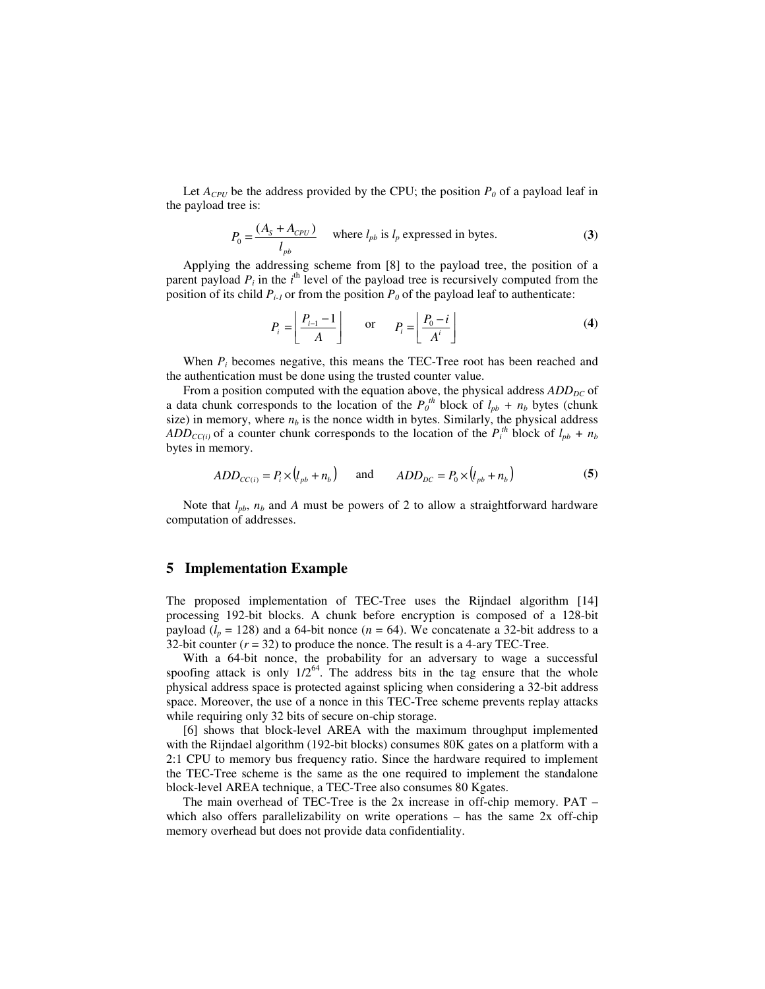Let  $A_{CPU}$  be the address provided by the CPU; the position  $P_0$  of a payload leaf in the payload tree is:

$$
P_0 = \frac{(A_s + A_{CPU})}{l_{pb}}
$$
 where  $l_{pb}$  is  $l_p$  expressed in bytes. (3)

Applying the addressing scheme from [8] to the payload tree, the position of a parent payload  $P_i$  in the  $i^{\text{th}}$  level of the payload tree is recursively computed from the position of its child  $P_{i-1}$  or from the position  $P_0$  of the payload leaf to authenticate:

$$
P_i = \left\lfloor \frac{P_{i-1} - 1}{A} \right\rfloor \quad \text{or} \quad P_i = \left\lfloor \frac{P_0 - i}{A^i} \right\rfloor \tag{4}
$$

When  $P_i$  becomes negative, this means the TEC-Tree root has been reached and the authentication must be done using the trusted counter value.

From a position computed with the equation above, the physical address  $ADD_{DC}$  of a data chunk corresponds to the location of the  $P_0^{th}$  block of  $l_{pb} + n_b$  bytes (chunk size) in memory, where  $n<sub>b</sub>$  is the nonce width in bytes. Similarly, the physical address *ADD*<sub>*CC(i)*</sub> of a counter chunk corresponds to the location of the  $P_i^{th}$  block of  $l_{pb} + n_b$ bytes in memory.

$$
ADD_{CC(i)} = P_i \times (l_{pb} + n_b) \quad \text{and} \quad ADD_{DC} = P_0 \times (l_{pb} + n_b) \tag{5}
$$

Note that  $l_{pb}$ ,  $n_b$  and A must be powers of 2 to allow a straightforward hardware computation of addresses.

### **5 Implementation Example**

The proposed implementation of TEC-Tree uses the Rijndael algorithm [14] processing 192-bit blocks. A chunk before encryption is composed of a 128-bit payload ( $l_p$  = 128) and a 64-bit nonce ( $n$  = 64). We concatenate a 32-bit address to a 32-bit counter  $(r = 32)$  to produce the nonce. The result is a 4-ary TEC-Tree.

With a 64-bit nonce, the probability for an adversary to wage a successful spoofing attack is only  $1/2^{64}$ . The address bits in the tag ensure that the whole physical address space is protected against splicing when considering a 32-bit address space. Moreover, the use of a nonce in this TEC-Tree scheme prevents replay attacks while requiring only 32 bits of secure on-chip storage.

[6] shows that block-level AREA with the maximum throughput implemented with the Rijndael algorithm (192-bit blocks) consumes 80K gates on a platform with a 2:1 CPU to memory bus frequency ratio. Since the hardware required to implement the TEC-Tree scheme is the same as the one required to implement the standalone block-level AREA technique, a TEC-Tree also consumes 80 Kgates.

The main overhead of TEC-Tree is the 2x increase in off-chip memory. PAT – which also offers parallelizability on write operations  $-$  has the same 2x off-chip memory overhead but does not provide data confidentiality.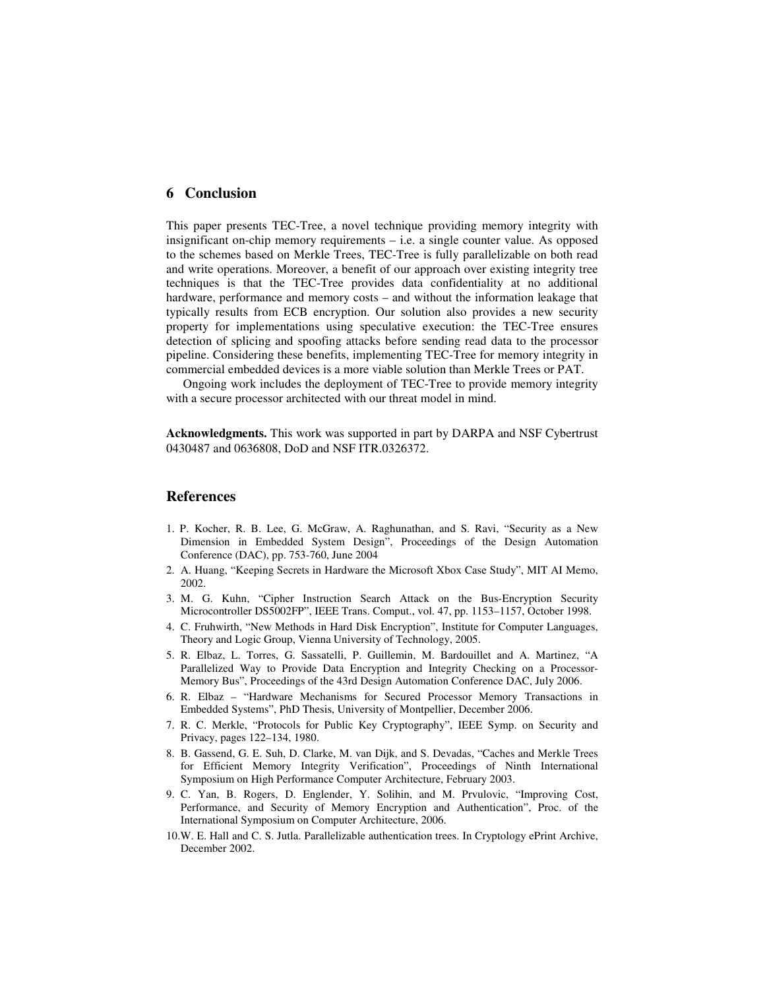# **6 Conclusion**

This paper presents TEC-Tree, a novel technique providing memory integrity with insignificant on-chip memory requirements – i.e. a single counter value. As opposed to the schemes based on Merkle Trees, TEC-Tree is fully parallelizable on both read and write operations. Moreover, a benefit of our approach over existing integrity tree techniques is that the TEC-Tree provides data confidentiality at no additional hardware, performance and memory costs – and without the information leakage that typically results from ECB encryption. Our solution also provides a new security property for implementations using speculative execution: the TEC-Tree ensures detection of splicing and spoofing attacks before sending read data to the processor pipeline. Considering these benefits, implementing TEC-Tree for memory integrity in commercial embedded devices is a more viable solution than Merkle Trees or PAT.

Ongoing work includes the deployment of TEC-Tree to provide memory integrity with a secure processor architected with our threat model in mind.

**Acknowledgments.** This work was supported in part by DARPA and NSF Cybertrust 0430487 and 0636808, DoD and NSF ITR.0326372.

#### **References**

- 1. P. Kocher, R. B. Lee, G. McGraw, A. Raghunathan, and S. Ravi, "Security as a New Dimension in Embedded System Design", Proceedings of the Design Automation Conference (DAC), pp. 753-760, June 2004
- 2. A. Huang, "Keeping Secrets in Hardware the Microsoft Xbox Case Study", MIT AI Memo, 2002.
- 3. M. G. Kuhn, "Cipher Instruction Search Attack on the Bus-Encryption Security Microcontroller DS5002FP", IEEE Trans. Comput., vol. 47, pp. 1153–1157, October 1998.
- 4. C. Fruhwirth, "New Methods in Hard Disk Encryption", Institute for Computer Languages, Theory and Logic Group, Vienna University of Technology, 2005.
- 5. R. Elbaz, L. Torres, G. Sassatelli, P. Guillemin, M. Bardouillet and A. Martinez, "A Parallelized Way to Provide Data Encryption and Integrity Checking on a Processor-Memory Bus", Proceedings of the 43rd Design Automation Conference DAC, July 2006.
- 6. R. Elbaz "Hardware Mechanisms for Secured Processor Memory Transactions in Embedded Systems", PhD Thesis, University of Montpellier, December 2006.
- 7. R. C. Merkle, "Protocols for Public Key Cryptography", IEEE Symp. on Security and Privacy, pages 122–134, 1980.
- 8. B. Gassend, G. E. Suh, D. Clarke, M. van Dijk, and S. Devadas, "Caches and Merkle Trees for Efficient Memory Integrity Verification", Proceedings of Ninth International Symposium on High Performance Computer Architecture, February 2003.
- 9. C. Yan, B. Rogers, D. Englender, Y. Solihin, and M. Prvulovic, "Improving Cost, Performance, and Security of Memory Encryption and Authentication", Proc. of the International Symposium on Computer Architecture, 2006.
- 10.W. E. Hall and C. S. Jutla. Parallelizable authentication trees. In Cryptology ePrint Archive, December 2002.